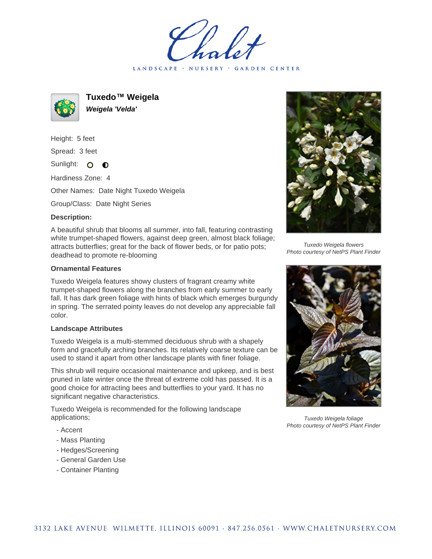LANDSCAPE · NURSERY · GARDEN CENTER



**Tuxedo™ Weigela Weigela 'Velda'**

Height: 5 feet Spread: 3 feet

Sunlight: O  $\bullet$ 

Hardiness Zone: 4

Other Names: Date Night Tuxedo Weigela

Group/Class: Date Night Series

## **Description:**

A beautiful shrub that blooms all summer, into fall, featuring contrasting white trumpet-shaped flowers, against deep green, almost black foliage; attracts butterflies; great for the back of flower beds, or for patio pots; deadhead to promote re-blooming

## **Ornamental Features**

Tuxedo Weigela features showy clusters of fragrant creamy white trumpet-shaped flowers along the branches from early summer to early fall. It has dark green foliage with hints of black which emerges burgundy in spring. The serrated pointy leaves do not develop any appreciable fall color.

## **Landscape Attributes**

Tuxedo Weigela is a multi-stemmed deciduous shrub with a shapely form and gracefully arching branches. Its relatively coarse texture can be used to stand it apart from other landscape plants with finer foliage.

This shrub will require occasional maintenance and upkeep, and is best pruned in late winter once the threat of extreme cold has passed. It is a good choice for attracting bees and butterflies to your yard. It has no significant negative characteristics.

Tuxedo Weigela is recommended for the following landscape applications;

- Accent
- Mass Planting
- Hedges/Screening
- General Garden Use
- Container Planting



Tuxedo Weigela flowers Photo courtesy of NetPS Plant Finder



Tuxedo Weigela foliage Photo courtesy of NetPS Plant Finder